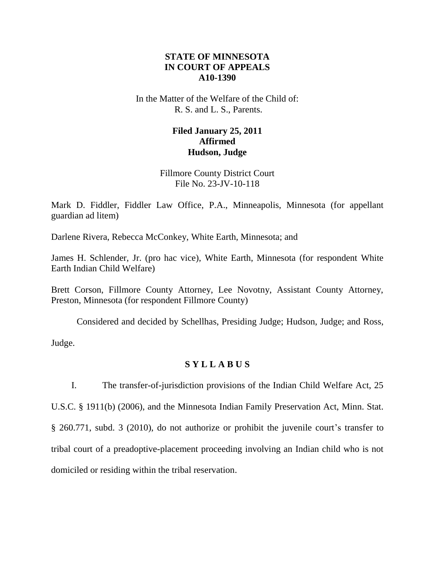## **STATE OF MINNESOTA IN COURT OF APPEALS A10-1390**

In the Matter of the Welfare of the Child of: R. S. and L. S., Parents.

## **Filed January 25, 2011 Affirmed Hudson, Judge**

Fillmore County District Court File No. 23-JV-10-118

Mark D. Fiddler, Fiddler Law Office, P.A., Minneapolis, Minnesota (for appellant guardian ad litem)

Darlene Rivera, Rebecca McConkey, White Earth, Minnesota; and

James H. Schlender, Jr. (pro hac vice), White Earth, Minnesota (for respondent White Earth Indian Child Welfare)

Brett Corson, Fillmore County Attorney, Lee Novotny, Assistant County Attorney, Preston, Minnesota (for respondent Fillmore County)

Considered and decided by Schellhas, Presiding Judge; Hudson, Judge; and Ross, Judge.

## **S Y L L A B U S**

I. The transfer-of-jurisdiction provisions of the Indian Child Welfare Act, 25 U.S.C. § 1911(b) (2006), and the Minnesota Indian Family Preservation Act, Minn. Stat. § 260.771, subd. 3 (2010), do not authorize or prohibit the juvenile court's transfer to tribal court of a preadoptive-placement proceeding involving an Indian child who is not domiciled or residing within the tribal reservation.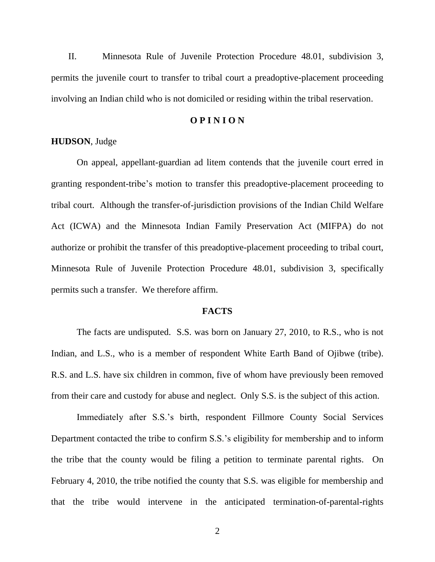II. Minnesota Rule of Juvenile Protection Procedure 48.01, subdivision 3, permits the juvenile court to transfer to tribal court a preadoptive-placement proceeding involving an Indian child who is not domiciled or residing within the tribal reservation.

### **O P I N I O N**

### **HUDSON**, Judge

On appeal, appellant-guardian ad litem contends that the juvenile court erred in granting respondent-tribe's motion to transfer this preadoptive-placement proceeding to tribal court. Although the transfer-of-jurisdiction provisions of the Indian Child Welfare Act (ICWA) and the Minnesota Indian Family Preservation Act (MIFPA) do not authorize or prohibit the transfer of this preadoptive-placement proceeding to tribal court, Minnesota Rule of Juvenile Protection Procedure 48.01, subdivision 3, specifically permits such a transfer. We therefore affirm.

#### **FACTS**

The facts are undisputed. S.S. was born on January 27, 2010, to R.S., who is not Indian, and L.S., who is a member of respondent White Earth Band of Ojibwe (tribe). R.S. and L.S. have six children in common, five of whom have previously been removed from their care and custody for abuse and neglect. Only S.S. is the subject of this action.

Immediately after S.S.'s birth, respondent Fillmore County Social Services Department contacted the tribe to confirm S.S.'s eligibility for membership and to inform the tribe that the county would be filing a petition to terminate parental rights. On February 4, 2010, the tribe notified the county that S.S. was eligible for membership and that the tribe would intervene in the anticipated termination-of-parental-rights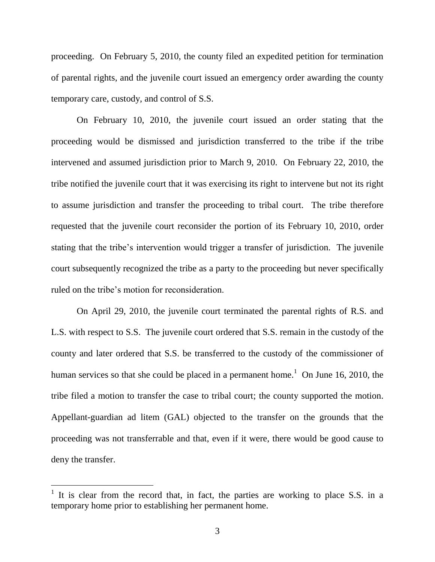proceeding. On February 5, 2010, the county filed an expedited petition for termination of parental rights, and the juvenile court issued an emergency order awarding the county temporary care, custody, and control of S.S.

On February 10, 2010, the juvenile court issued an order stating that the proceeding would be dismissed and jurisdiction transferred to the tribe if the tribe intervened and assumed jurisdiction prior to March 9, 2010. On February 22, 2010, the tribe notified the juvenile court that it was exercising its right to intervene but not its right to assume jurisdiction and transfer the proceeding to tribal court. The tribe therefore requested that the juvenile court reconsider the portion of its February 10, 2010, order stating that the tribe's intervention would trigger a transfer of jurisdiction. The juvenile court subsequently recognized the tribe as a party to the proceeding but never specifically ruled on the tribe's motion for reconsideration.

On April 29, 2010, the juvenile court terminated the parental rights of R.S. and L.S. with respect to S.S. The juvenile court ordered that S.S. remain in the custody of the county and later ordered that S.S. be transferred to the custody of the commissioner of human services so that she could be placed in a permanent home.<sup>1</sup> On June 16, 2010, the tribe filed a motion to transfer the case to tribal court; the county supported the motion. Appellant-guardian ad litem (GAL) objected to the transfer on the grounds that the proceeding was not transferrable and that, even if it were, there would be good cause to deny the transfer.

 $\overline{a}$ 

<sup>&</sup>lt;sup>1</sup> It is clear from the record that, in fact, the parties are working to place S.S. in a temporary home prior to establishing her permanent home.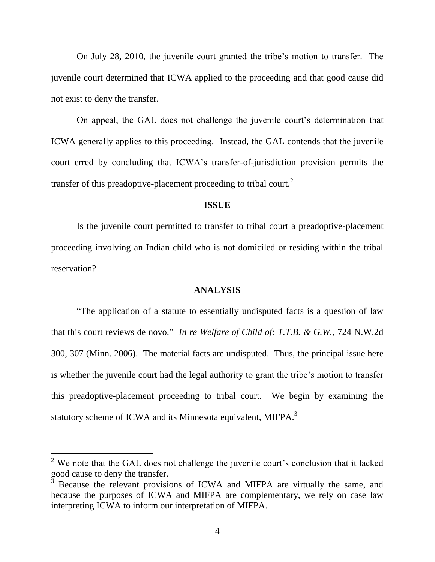On July 28, 2010, the juvenile court granted the tribe's motion to transfer. The juvenile court determined that ICWA applied to the proceeding and that good cause did not exist to deny the transfer.

On appeal, the GAL does not challenge the juvenile court's determination that ICWA generally applies to this proceeding. Instead, the GAL contends that the juvenile court erred by concluding that ICWA's transfer-of-jurisdiction provision permits the transfer of this preadoptive-placement proceeding to tribal court.<sup>2</sup>

#### **ISSUE**

Is the juvenile court permitted to transfer to tribal court a preadoptive-placement proceeding involving an Indian child who is not domiciled or residing within the tribal reservation?

### **ANALYSIS**

―The application of a statute to essentially undisputed facts is a question of law that this court reviews de novo." In re Welfare of Child of: T.T.B. & G.W., 724 N.W.2d 300, 307 (Minn. 2006). The material facts are undisputed. Thus, the principal issue here is whether the juvenile court had the legal authority to grant the tribe's motion to transfer this preadoptive-placement proceeding to tribal court. We begin by examining the statutory scheme of ICWA and its Minnesota equivalent, MIFPA. $^3$ 

 $2$  We note that the GAL does not challenge the juvenile court's conclusion that it lacked good cause to deny the transfer.

<sup>3</sup> Because the relevant provisions of ICWA and MIFPA are virtually the same, and because the purposes of ICWA and MIFPA are complementary, we rely on case law interpreting ICWA to inform our interpretation of MIFPA.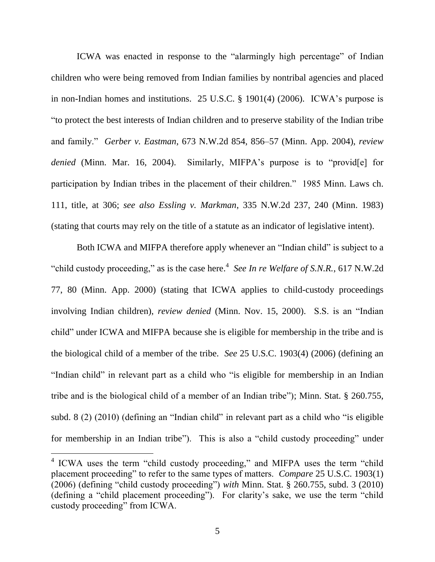ICWA was enacted in response to the "alarmingly high percentage" of Indian children who were being removed from Indian families by nontribal agencies and placed in non-Indian homes and institutions. 25 U.S.C. § 1901(4) (2006). ICWA's purpose is ―to protect the best interests of Indian children and to preserve stability of the Indian tribe and family.‖ *Gerber v. Eastman*, 673 N.W.2d 854, 856–57 (Minn. App. 2004), *review denied* (Minn. Mar. 16, 2004). Similarly, MIFPA's purpose is to "provid[e] for participation by Indian tribes in the placement of their children." 1985 Minn. Laws ch. 111, title, at 306; *see also Essling v. Markman*, 335 N.W.2d 237, 240 (Minn. 1983) (stating that courts may rely on the title of a statute as an indicator of legislative intent).

Both ICWA and MIFPA therefore apply whenever an "Indian child" is subject to a "child custody proceeding," as is the case here.<sup>4</sup> See In re Welfare of S.N.R., 617 N.W.2d 77, 80 (Minn. App. 2000) (stating that ICWA applies to child-custody proceedings involving Indian children), *review denied* (Minn. Nov. 15, 2000). S.S. is an "Indian child" under ICWA and MIFPA because she is eligible for membership in the tribe and is the biological child of a member of the tribe. *See* 25 U.S.C. 1903(4) (2006) (defining an "Indian child" in relevant part as a child who "is eligible for membership in an Indian tribe and is the biological child of a member of an Indian tribe"); Minn. Stat.  $\S$  260.755, subd.  $8(2)(2010)$  (defining an "Indian child" in relevant part as a child who "is eligible for membership in an Indian tribe"). This is also a "child custody proceeding" under

<sup>&</sup>lt;sup>4</sup> ICWA uses the term "child custody proceeding," and MIFPA uses the term "child placement proceeding" to refer to the same types of matters. *Compare* 25 U.S.C. 1903(1) (2006) (defining "child custody proceeding") *with* Minn. Stat. § 260.755, subd. 3 (2010) (defining a "child placement proceeding"). For clarity's sake, we use the term "child" custody proceeding" from ICWA.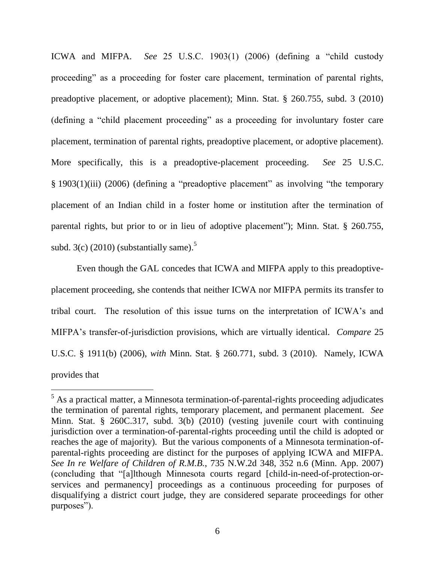ICWA and MIFPA. *See* 25 U.S.C. 1903(1) (2006) (defining a "child custody proceeding" as a proceeding for foster care placement, termination of parental rights, preadoptive placement, or adoptive placement); Minn. Stat. § 260.755, subd. 3 (2010) (defining a "child placement proceeding" as a proceeding for involuntary foster care placement, termination of parental rights, preadoptive placement, or adoptive placement). More specifically, this is a preadoptive-placement proceeding. *See* 25 U.S.C.  $§$  1903(1)(iii) (2006) (defining a "preadoptive placement" as involving "the temporary placement of an Indian child in a foster home or institution after the termination of parental rights, but prior to or in lieu of adoptive placement"); Minn. Stat.  $\S$  260.755, subd.  $3(c)$  (2010) (substantially same).<sup>5</sup>

Even though the GAL concedes that ICWA and MIFPA apply to this preadoptiveplacement proceeding, she contends that neither ICWA nor MIFPA permits its transfer to tribal court. The resolution of this issue turns on the interpretation of ICWA's and MIFPA's transfer-of-jurisdiction provisions, which are virtually identical. *Compare* 25 U.S.C. § 1911(b) (2006), *with* Minn. Stat. § 260.771, subd. 3 (2010). Namely, ICWA provides that

 $\overline{a}$ 

 $<sup>5</sup>$  As a practical matter, a Minnesota termination-of-parental-rights proceeding adjudicates</sup> the termination of parental rights, temporary placement, and permanent placement. *See* Minn. Stat. § 260C.317, subd. 3(b) (2010) (vesting juvenile court with continuing jurisdiction over a termination-of-parental-rights proceeding until the child is adopted or reaches the age of majority). But the various components of a Minnesota termination-ofparental-rights proceeding are distinct for the purposes of applying ICWA and MIFPA. *See In re Welfare of Children of R.M.B.*, 735 N.W.2d 348, 352 n.6 (Minn. App. 2007) (concluding that ―[a]lthough Minnesota courts regard [child-in-need-of-protection-orservices and permanency] proceedings as a continuous proceeding for purposes of disqualifying a district court judge, they are considered separate proceedings for other purposes").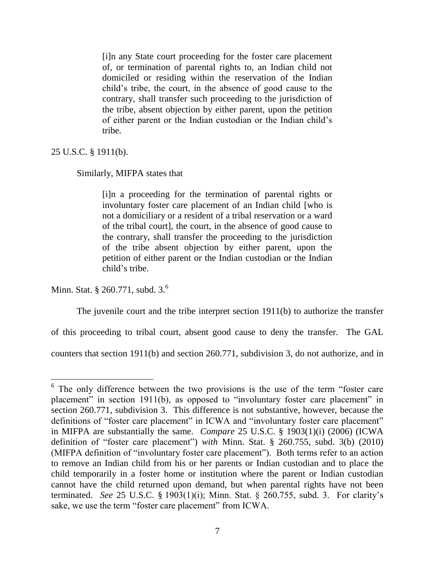[i]n any State court proceeding for the foster care placement of, or termination of parental rights to, an Indian child not domiciled or residing within the reservation of the Indian child's tribe, the court, in the absence of good cause to the contrary, shall transfer such proceeding to the jurisdiction of the tribe, absent objection by either parent, upon the petition of either parent or the Indian custodian or the Indian child's tribe.

25 U.S.C. § 1911(b).

### Similarly, MIFPA states that

[i]n a proceeding for the termination of parental rights or involuntary foster care placement of an Indian child [who is not a domiciliary or a resident of a tribal reservation or a ward of the tribal court], the court, in the absence of good cause to the contrary, shall transfer the proceeding to the jurisdiction of the tribe absent objection by either parent, upon the petition of either parent or the Indian custodian or the Indian child's tribe.

Minn. Stat. § 260.771, subd. 3.<sup>6</sup>

The juvenile court and the tribe interpret section 1911(b) to authorize the transfer

of this proceeding to tribal court, absent good cause to deny the transfer. The GAL

counters that section 1911(b) and section 260.771, subdivision 3, do not authorize, and in

 $6$  The only difference between the two provisions is the use of the term "foster care" placement" in section 1911(b), as opposed to "involuntary foster care placement" in section 260.771, subdivision 3. This difference is not substantive, however, because the definitions of "foster care placement" in ICWA and "involuntary foster care placement" in MIFPA are substantially the same. *Compare* 25 U.S.C. § 1903(1)(i) (2006) (ICWA definition of "foster care placement") *with* Minn. Stat. § 260.755, subd. 3(b) (2010) (MIFPA definition of "involuntary foster care placement"). Both terms refer to an action to remove an Indian child from his or her parents or Indian custodian and to place the child temporarily in a foster home or institution where the parent or Indian custodian cannot have the child returned upon demand, but when parental rights have not been terminated. *See* 25 U.S.C. § 1903(1)(i); Minn. Stat. § 260.755, subd. 3. For clarity's sake, we use the term "foster care placement" from ICWA.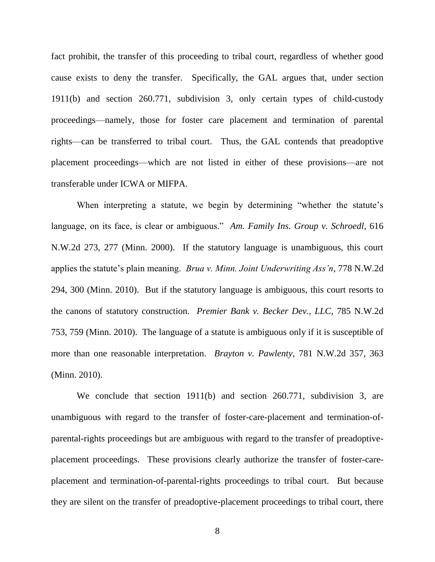fact prohibit, the transfer of this proceeding to tribal court, regardless of whether good cause exists to deny the transfer. Specifically, the GAL argues that, under section 1911(b) and section 260.771, subdivision 3, only certain types of child-custody proceedings—namely, those for foster care placement and termination of parental rights—can be transferred to tribal court. Thus, the GAL contends that preadoptive placement proceedings—which are not listed in either of these provisions—are not transferable under ICWA or MIFPA.

When interpreting a statute, we begin by determining "whether the statute's language, on its face, is clear or ambiguous." Am. Family Ins. Group v. Schroedl, 616 N.W.2d 273, 277 (Minn. 2000). If the statutory language is unambiguous, this court applies the statute's plain meaning. *Brua v. Minn. Joint Underwriting Ass'n*, 778 N.W.2d 294, 300 (Minn. 2010). But if the statutory language is ambiguous, this court resorts to the canons of statutory construction. *Premier Bank v. Becker Dev., LLC*, 785 N.W.2d 753, 759 (Minn. 2010). The language of a statute is ambiguous only if it is susceptible of more than one reasonable interpretation. *Brayton v. Pawlenty*, 781 N.W.2d 357, 363 (Minn. 2010).

We conclude that section 1911(b) and section 260.771, subdivision 3, are unambiguous with regard to the transfer of foster-care-placement and termination-ofparental-rights proceedings but are ambiguous with regard to the transfer of preadoptiveplacement proceedings. These provisions clearly authorize the transfer of foster-careplacement and termination-of-parental-rights proceedings to tribal court. But because they are silent on the transfer of preadoptive-placement proceedings to tribal court, there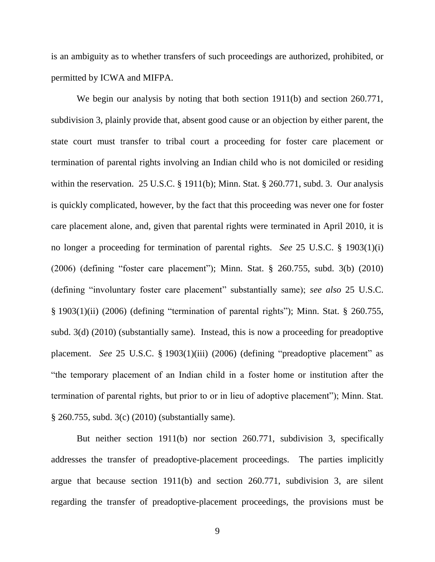is an ambiguity as to whether transfers of such proceedings are authorized, prohibited, or permitted by ICWA and MIFPA.

We begin our analysis by noting that both section 1911(b) and section 260.771, subdivision 3, plainly provide that, absent good cause or an objection by either parent, the state court must transfer to tribal court a proceeding for foster care placement or termination of parental rights involving an Indian child who is not domiciled or residing within the reservation. 25 U.S.C. § 1911(b); Minn. Stat. § 260.771, subd. 3. Our analysis is quickly complicated, however, by the fact that this proceeding was never one for foster care placement alone, and, given that parental rights were terminated in April 2010, it is no longer a proceeding for termination of parental rights. *See* 25 U.S.C. § 1903(1)(i)  $(2006)$  (defining "foster care placement"); Minn. Stat. § 260.755, subd. 3(b)  $(2010)$ (defining "involuntary foster care placement" substantially same); *see also* 25 U.S.C.  $\S$  1903(1)(ii) (2006) (defining "termination of parental rights"); Minn. Stat.  $\S$  260.755, subd. 3(d) (2010) (substantially same). Instead, this is now a proceeding for preadoptive placement. *See* 25 U.S.C. § 1903(1)(iii) (2006) (defining "preadoptive placement" as ―the temporary placement of an Indian child in a foster home or institution after the termination of parental rights, but prior to or in lieu of adoptive placement"); Minn. Stat. § 260.755, subd. 3(c) (2010) (substantially same).

But neither section 1911(b) nor section 260.771, subdivision 3, specifically addresses the transfer of preadoptive-placement proceedings. The parties implicitly argue that because section 1911(b) and section 260.771, subdivision 3, are silent regarding the transfer of preadoptive-placement proceedings, the provisions must be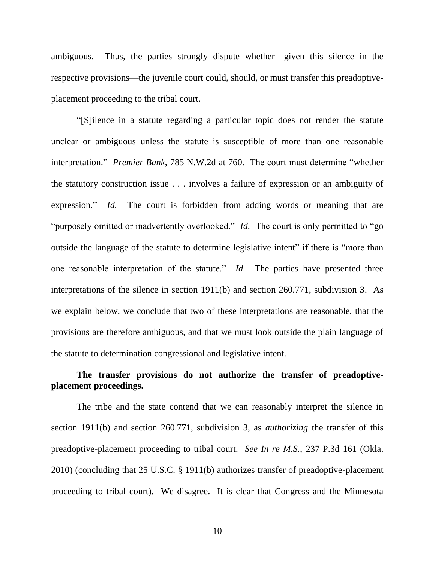ambiguous. Thus, the parties strongly dispute whether—given this silence in the respective provisions—the juvenile court could, should, or must transfer this preadoptiveplacement proceeding to the tribal court.

―[S]ilence in a statute regarding a particular topic does not render the statute unclear or ambiguous unless the statute is susceptible of more than one reasonable interpretation." *Premier Bank*, 785 N.W.2d at 760. The court must determine "whether the statutory construction issue . . . involves a failure of expression or an ambiguity of expression." *Id.* The court is forbidden from adding words or meaning that are "purposely omitted or inadvertently overlooked." *Id.* The court is only permitted to "go outside the language of the statute to determine legislative intent" if there is "more than one reasonable interpretation of the statute." *Id.* The parties have presented three interpretations of the silence in section 1911(b) and section 260.771, subdivision 3. As we explain below, we conclude that two of these interpretations are reasonable, that the provisions are therefore ambiguous, and that we must look outside the plain language of the statute to determination congressional and legislative intent.

## **The transfer provisions do not authorize the transfer of preadoptiveplacement proceedings.**

The tribe and the state contend that we can reasonably interpret the silence in section 1911(b) and section 260.771, subdivision 3, as *authorizing* the transfer of this preadoptive-placement proceeding to tribal court. *See In re M.S.*, 237 P.3d 161 (Okla. 2010) (concluding that 25 U.S.C. § 1911(b) authorizes transfer of preadoptive-placement proceeding to tribal court). We disagree. It is clear that Congress and the Minnesota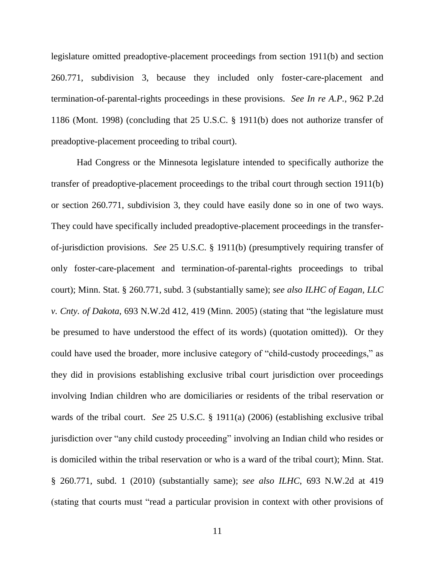legislature omitted preadoptive-placement proceedings from section 1911(b) and section 260.771, subdivision 3, because they included only foster-care-placement and termination-of-parental-rights proceedings in these provisions. *See In re A.P.*, 962 P.2d 1186 (Mont. 1998) (concluding that 25 U.S.C. § 1911(b) does not authorize transfer of preadoptive-placement proceeding to tribal court).

Had Congress or the Minnesota legislature intended to specifically authorize the transfer of preadoptive-placement proceedings to the tribal court through section 1911(b) or section 260.771, subdivision 3, they could have easily done so in one of two ways. They could have specifically included preadoptive-placement proceedings in the transferof-jurisdiction provisions. *See* 25 U.S.C. § 1911(b) (presumptively requiring transfer of only foster-care-placement and termination-of-parental-rights proceedings to tribal court); Minn. Stat. § 260.771, subd. 3 (substantially same); *see also ILHC of Eagan, LLC v. Cnty. of Dakota*, 693 N.W.2d 412, 419 (Minn. 2005) (stating that "the legislature must be presumed to have understood the effect of its words) (quotation omitted)). Or they could have used the broader, more inclusive category of "child-custody proceedings," as they did in provisions establishing exclusive tribal court jurisdiction over proceedings involving Indian children who are domiciliaries or residents of the tribal reservation or wards of the tribal court. *See* 25 U.S.C. § 1911(a) (2006) (establishing exclusive tribal jurisdiction over "any child custody proceeding" involving an Indian child who resides or is domiciled within the tribal reservation or who is a ward of the tribal court); Minn. Stat. § 260.771, subd. 1 (2010) (substantially same); *see also ILHC*, 693 N.W.2d at 419 (stating that courts must "read a particular provision in context with other provisions of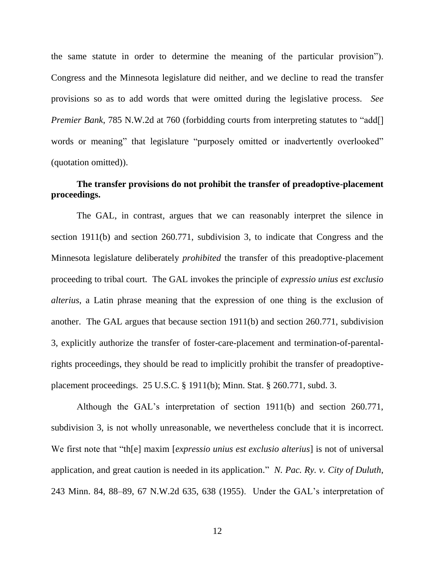the same statute in order to determine the meaning of the particular provision"). Congress and the Minnesota legislature did neither, and we decline to read the transfer provisions so as to add words that were omitted during the legislative process. *See Premier Bank*, 785 N.W.2d at 760 (forbidding courts from interpreting statutes to "add[] words or meaning" that legislature "purposely omitted or inadvertently overlooked" (quotation omitted)).

## **The transfer provisions do not prohibit the transfer of preadoptive-placement proceedings.**

The GAL, in contrast, argues that we can reasonably interpret the silence in section 1911(b) and section 260.771, subdivision 3, to indicate that Congress and the Minnesota legislature deliberately *prohibited* the transfer of this preadoptive-placement proceeding to tribal court. The GAL invokes the principle of *expressio unius est exclusio alterius*, a Latin phrase meaning that the expression of one thing is the exclusion of another. The GAL argues that because section 1911(b) and section 260.771, subdivision 3, explicitly authorize the transfer of foster-care-placement and termination-of-parentalrights proceedings, they should be read to implicitly prohibit the transfer of preadoptiveplacement proceedings. 25 U.S.C. § 1911(b); Minn. Stat. § 260.771, subd. 3.

Although the GAL's interpretation of section 1911(b) and section 260.771, subdivision 3, is not wholly unreasonable, we nevertheless conclude that it is incorrect. We first note that "th[e] maxim [*expressio unius est exclusio alterius*] is not of universal application, and great caution is needed in its application." *N. Pac. Ry. v. City of Duluth*, 243 Minn. 84, 88–89, 67 N.W.2d 635, 638 (1955). Under the GAL's interpretation of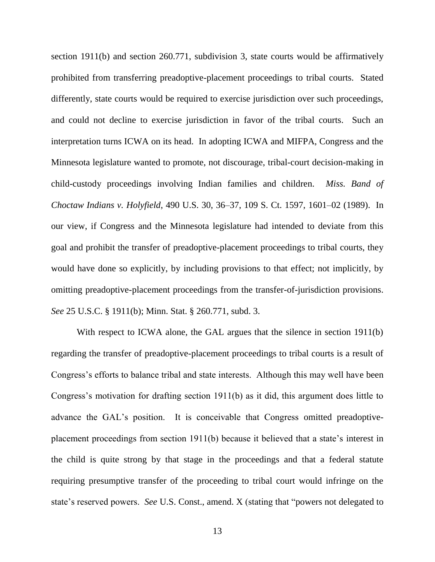section 1911(b) and section 260.771, subdivision 3, state courts would be affirmatively prohibited from transferring preadoptive-placement proceedings to tribal courts. Stated differently, state courts would be required to exercise jurisdiction over such proceedings, and could not decline to exercise jurisdiction in favor of the tribal courts. Such an interpretation turns ICWA on its head. In adopting ICWA and MIFPA, Congress and the Minnesota legislature wanted to promote, not discourage, tribal-court decision-making in child-custody proceedings involving Indian families and children. *Miss. Band of Choctaw Indians v. Holyfield*, 490 U.S. 30, 36–37, 109 S. Ct. 1597, 1601–02 (1989). In our view, if Congress and the Minnesota legislature had intended to deviate from this goal and prohibit the transfer of preadoptive-placement proceedings to tribal courts, they would have done so explicitly, by including provisions to that effect; not implicitly, by omitting preadoptive-placement proceedings from the transfer-of-jurisdiction provisions. *See* 25 U.S.C. § 1911(b); Minn. Stat. § 260.771, subd. 3.

With respect to ICWA alone, the GAL argues that the silence in section 1911(b) regarding the transfer of preadoptive-placement proceedings to tribal courts is a result of Congress's efforts to balance tribal and state interests. Although this may well have been Congress's motivation for drafting section 1911(b) as it did, this argument does little to advance the GAL's position. It is conceivable that Congress omitted preadoptiveplacement proceedings from section 1911(b) because it believed that a state's interest in the child is quite strong by that stage in the proceedings and that a federal statute requiring presumptive transfer of the proceeding to tribal court would infringe on the state's reserved powers. *See* U.S. Const., amend. X (stating that "powers not delegated to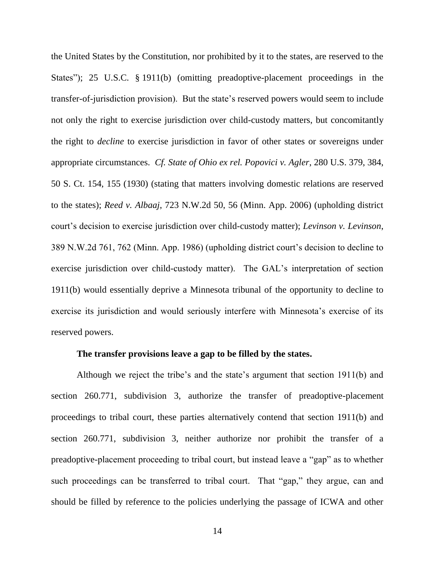the United States by the Constitution, nor prohibited by it to the states, are reserved to the States"); 25 U.S.C. § 1911(b) (omitting preadoptive-placement proceedings in the transfer-of-jurisdiction provision). But the state's reserved powers would seem to include not only the right to exercise jurisdiction over child-custody matters, but concomitantly the right to *decline* to exercise jurisdiction in favor of other states or sovereigns under appropriate circumstances. *Cf. State of Ohio ex rel. Popovici v. Agler*, 280 U.S. 379, 384, 50 S. Ct. 154, 155 (1930) (stating that matters involving domestic relations are reserved to the states); *Reed v. Albaaj*, 723 N.W.2d 50, 56 (Minn. App. 2006) (upholding district court's decision to exercise jurisdiction over child-custody matter); *Levinson v. Levinson*, 389 N.W.2d 761, 762 (Minn. App. 1986) (upholding district court's decision to decline to exercise jurisdiction over child-custody matter). The GAL's interpretation of section 1911(b) would essentially deprive a Minnesota tribunal of the opportunity to decline to exercise its jurisdiction and would seriously interfere with Minnesota's exercise of its reserved powers.

#### **The transfer provisions leave a gap to be filled by the states.**

Although we reject the tribe's and the state's argument that section 1911(b) and section 260.771, subdivision 3, authorize the transfer of preadoptive-placement proceedings to tribal court, these parties alternatively contend that section 1911(b) and section 260.771, subdivision 3, neither authorize nor prohibit the transfer of a preadoptive-placement proceeding to tribal court, but instead leave a "gap" as to whether such proceedings can be transferred to tribal court. That "gap," they argue, can and should be filled by reference to the policies underlying the passage of ICWA and other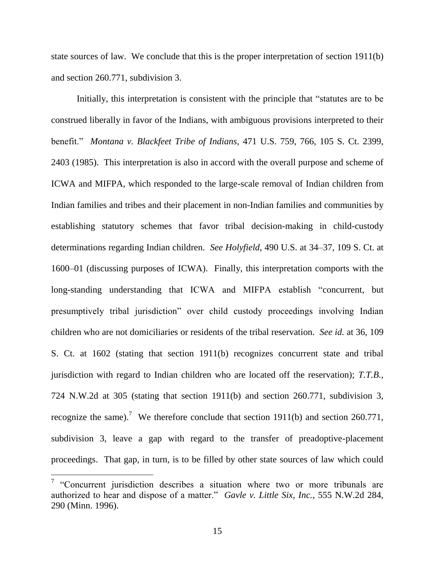state sources of law. We conclude that this is the proper interpretation of section 1911(b) and section 260.771, subdivision 3.

Initially, this interpretation is consistent with the principle that "statutes are to be construed liberally in favor of the Indians, with ambiguous provisions interpreted to their benefit.‖ *Montana v. Blackfeet Tribe of Indians*, 471 U.S. 759, 766, 105 S. Ct. 2399, 2403 (1985). This interpretation is also in accord with the overall purpose and scheme of ICWA and MIFPA, which responded to the large-scale removal of Indian children from Indian families and tribes and their placement in non-Indian families and communities by establishing statutory schemes that favor tribal decision-making in child-custody determinations regarding Indian children. *See Holyfield*, 490 U.S. at 34–37, 109 S. Ct. at 1600–01 (discussing purposes of ICWA). Finally, this interpretation comports with the long-standing understanding that ICWA and MIFPA establish "concurrent, but presumptively tribal jurisdiction" over child custody proceedings involving Indian children who are not domiciliaries or residents of the tribal reservation. *See id.* at 36, 109 S. Ct. at 1602 (stating that section 1911(b) recognizes concurrent state and tribal jurisdiction with regard to Indian children who are located off the reservation); *T.T.B.*, 724 N.W.2d at 305 (stating that section 1911(b) and section 260.771, subdivision 3, recognize the same).<sup>7</sup> We therefore conclude that section 1911(b) and section 260.771, subdivision 3, leave a gap with regard to the transfer of preadoptive-placement proceedings. That gap, in turn, is to be filled by other state sources of law which could

<sup>&</sup>lt;sup>7</sup> "Concurrent jurisdiction describes a situation where two or more tribunals are authorized to hear and dispose of a matter." *Gavle v. Little Six, Inc.*, 555 N.W.2d 284, 290 (Minn. 1996).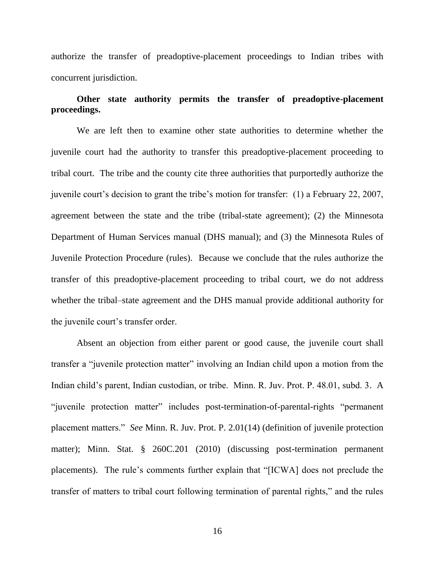authorize the transfer of preadoptive-placement proceedings to Indian tribes with concurrent jurisdiction.

### **Other state authority permits the transfer of preadoptive-placement proceedings.**

We are left then to examine other state authorities to determine whether the juvenile court had the authority to transfer this preadoptive-placement proceeding to tribal court. The tribe and the county cite three authorities that purportedly authorize the juvenile court's decision to grant the tribe's motion for transfer: (1) a February 22, 2007, agreement between the state and the tribe (tribal-state agreement); (2) the Minnesota Department of Human Services manual (DHS manual); and (3) the Minnesota Rules of Juvenile Protection Procedure (rules). Because we conclude that the rules authorize the transfer of this preadoptive-placement proceeding to tribal court, we do not address whether the tribal–state agreement and the DHS manual provide additional authority for the juvenile court's transfer order.

Absent an objection from either parent or good cause, the juvenile court shall transfer a "juvenile protection matter" involving an Indian child upon a motion from the Indian child's parent, Indian custodian, or tribe. Minn. R. Juv. Prot. P. 48.01, subd. 3. A "juvenile protection matter" includes post-termination-of-parental-rights "permanent" placement matters.‖ *See* Minn. R. Juv. Prot. P. 2.01(14) (definition of juvenile protection matter); Minn. Stat. § 260C.201 (2010) (discussing post-termination permanent placements). The rule's comments further explain that "[ICWA] does not preclude the transfer of matters to tribal court following termination of parental rights," and the rules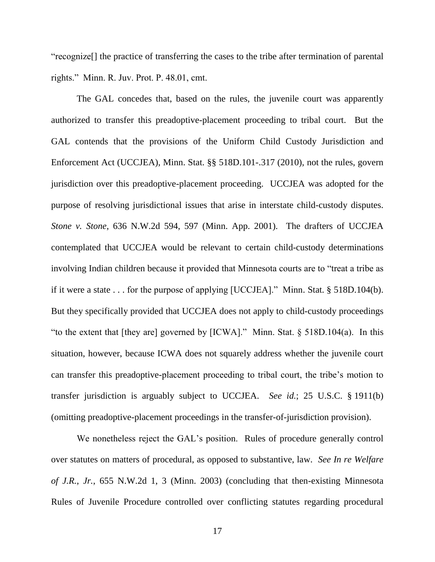―recognize[] the practice of transferring the cases to the tribe after termination of parental rights." Minn. R. Juv. Prot. P. 48.01, cmt.

The GAL concedes that, based on the rules, the juvenile court was apparently authorized to transfer this preadoptive-placement proceeding to tribal court. But the GAL contends that the provisions of the Uniform Child Custody Jurisdiction and Enforcement Act (UCCJEA), Minn. Stat. §§ 518D.101-.317 (2010), not the rules, govern jurisdiction over this preadoptive-placement proceeding. UCCJEA was adopted for the purpose of resolving jurisdictional issues that arise in interstate child-custody disputes. *Stone v. Stone*, 636 N.W.2d 594, 597 (Minn. App. 2001). The drafters of UCCJEA contemplated that UCCJEA would be relevant to certain child-custody determinations involving Indian children because it provided that Minnesota courts are to "treat a tribe as if it were a state  $\ldots$  for the purpose of applying [UCCJEA]." Minn. Stat. § 518D.104(b). But they specifically provided that UCCJEA does not apply to child-custody proceedings "to the extent that [they are] governed by  $[ICWA]$ ." Minn. Stat. § 518D.104(a). In this situation, however, because ICWA does not squarely address whether the juvenile court can transfer this preadoptive-placement proceeding to tribal court, the tribe's motion to transfer jurisdiction is arguably subject to UCCJEA. *See id.*; 25 U.S.C. § 1911(b) (omitting preadoptive-placement proceedings in the transfer-of-jurisdiction provision).

We nonetheless reject the GAL's position. Rules of procedure generally control over statutes on matters of procedural, as opposed to substantive, law. *See In re Welfare of J.R., Jr.*, 655 N.W.2d 1, 3 (Minn. 2003) (concluding that then-existing Minnesota Rules of Juvenile Procedure controlled over conflicting statutes regarding procedural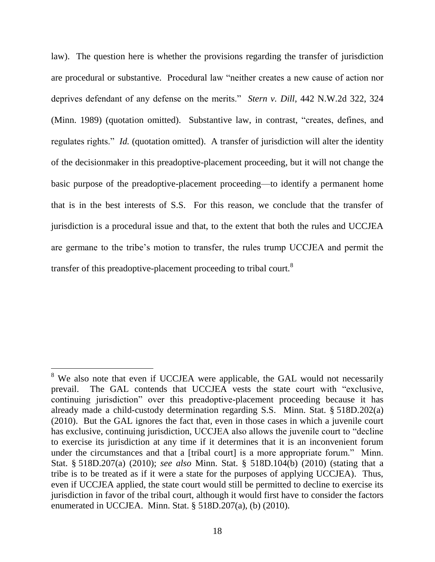law). The question here is whether the provisions regarding the transfer of jurisdiction are procedural or substantive. Procedural law "neither creates a new cause of action nor deprives defendant of any defense on the merits." *Stern v. Dill*, 442 N.W.2d 322, 324 (Minn. 1989) (quotation omitted). Substantive law, in contrast, "creates, defines, and regulates rights." *Id.* (quotation omitted). A transfer of jurisdiction will alter the identity of the decisionmaker in this preadoptive-placement proceeding, but it will not change the basic purpose of the preadoptive-placement proceeding—to identify a permanent home that is in the best interests of S.S. For this reason, we conclude that the transfer of jurisdiction is a procedural issue and that, to the extent that both the rules and UCCJEA are germane to the tribe's motion to transfer, the rules trump UCCJEA and permit the transfer of this preadoptive-placement proceeding to tribal court.<sup>8</sup>

<sup>&</sup>lt;sup>8</sup> We also note that even if UCCJEA were applicable, the GAL would not necessarily prevail. The GAL contends that UCCJEA vests the state court with "exclusive, continuing jurisdiction" over this preadoptive-placement proceeding because it has already made a child-custody determination regarding S.S. Minn. Stat. § 518D.202(a) (2010). But the GAL ignores the fact that, even in those cases in which a juvenile court has exclusive, continuing jurisdiction, UCCJEA also allows the juvenile court to "decline" to exercise its jurisdiction at any time if it determines that it is an inconvenient forum under the circumstances and that a [tribal court] is a more appropriate forum." Minn. Stat. § 518D.207(a) (2010); *see also* Minn. Stat. § 518D.104(b) (2010) (stating that a tribe is to be treated as if it were a state for the purposes of applying UCCJEA). Thus, even if UCCJEA applied, the state court would still be permitted to decline to exercise its jurisdiction in favor of the tribal court, although it would first have to consider the factors enumerated in UCCJEA. Minn. Stat. § 518D.207(a), (b) (2010).